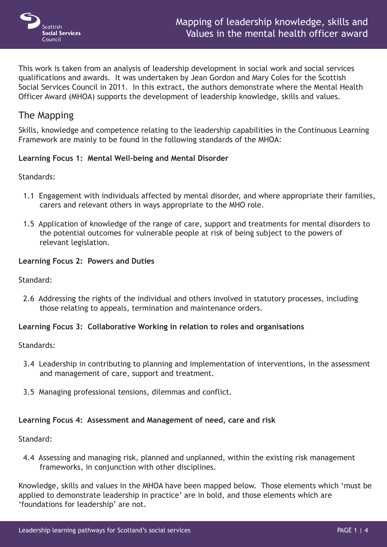

This work is taken from an analysis of leadership development in social work and social services qualifications and awards. It was undertaken by Jean Gordon and Mary Coles for the Scottish Social Services Council in 2011. In this extract, the authors demonstrate where the Mental Health Officer Award (MHOA) supports the development of leadership knowledge, skills and values.

# The Mapping

Skills, knowledge and competence relating to the leadership capabilities in the Continuous Learning Framework are mainly to be found in the following standards of the MHOA:

# **Learning Focus 1: Mental Well-being and Mental Disorder**

Standards:

- 1.1 Engagement with individuals affected by mental disorder, and where appropriate their families, carers and relevant others in ways appropriate to the MHO role.
- 1.5 Application of knowledge of the range of care, support and treatments for mental disorders to the potential outcomes for vulnerable people at risk of being subject to the powers of relevant legislation.

# **Learning Focus 2: Powers and Duties**

Standard:

 2.6 Addressing the rights of the individual and others involved in statutory processes, including those relating to appeals, termination and maintenance orders.

### **Learning Focus 3: Collaborative Working in relation to roles and organisations**

Standards:

- 3.4 Leadership in contributing to planning and implementation of interventions, in the assessment and management of care, support and treatment.
- 3.5 Managing professional tensions, dilemmas and conflict.

### **Learning Focus 4: Assessment and Management of need, care and risk**

Standard:

 4.4 Assessing and managing risk, planned and unplanned, within the existing risk management frameworks, in conjunction with other disciplines.

Knowledge, skills and values in the MHOA have been mapped below. Those elements which 'must be applied to demonstrate leadership in practice' are in bold, and those elements which are 'foundations for leadership' are not.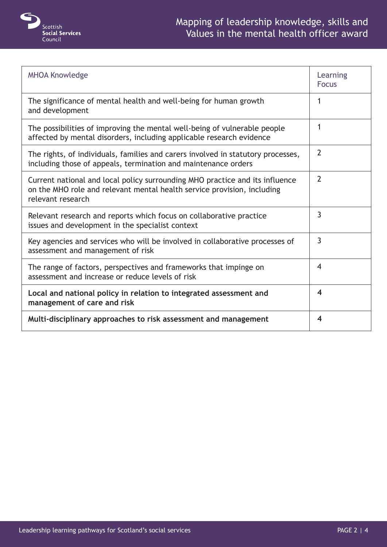

| <b>MHOA Knowledge</b>                                                                                                                                                        | Learning<br><b>Focus</b> |
|------------------------------------------------------------------------------------------------------------------------------------------------------------------------------|--------------------------|
| The significance of mental health and well-being for human growth<br>and development                                                                                         | 1                        |
| The possibilities of improving the mental well-being of vulnerable people<br>affected by mental disorders, including applicable research evidence                            | 1                        |
| The rights, of individuals, families and carers involved in statutory processes,<br>including those of appeals, termination and maintenance orders                           | $\overline{2}$           |
| Current national and local policy surrounding MHO practice and its influence<br>on the MHO role and relevant mental health service provision, including<br>relevant research | $\overline{2}$           |
| Relevant research and reports which focus on collaborative practice<br>issues and development in the specialist context                                                      | 3                        |
| Key agencies and services who will be involved in collaborative processes of<br>assessment and management of risk                                                            | $\overline{3}$           |
| The range of factors, perspectives and frameworks that impinge on<br>assessment and increase or reduce levels of risk                                                        | 4                        |
| Local and national policy in relation to integrated assessment and<br>management of care and risk                                                                            | 4                        |
| Multi-disciplinary approaches to risk assessment and management                                                                                                              | 4                        |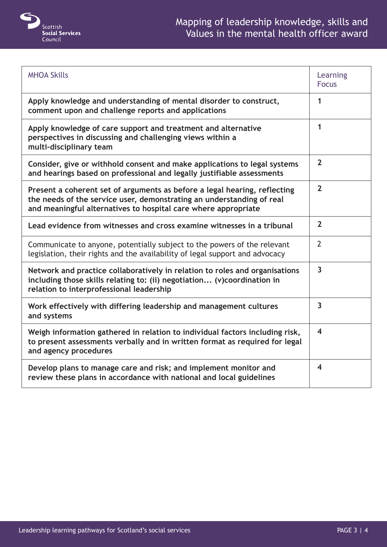

| <b>MHOA Skills</b>                                                                                                                                                                                                   | Learning<br><b>Focus</b> |
|----------------------------------------------------------------------------------------------------------------------------------------------------------------------------------------------------------------------|--------------------------|
| Apply knowledge and understanding of mental disorder to construct,<br>comment upon and challenge reports and applications                                                                                            | 1                        |
| Apply knowledge of care support and treatment and alternative<br>perspectives in discussing and challenging views within a<br>multi-disciplinary team                                                                | $\mathbf{1}$             |
| Consider, give or withhold consent and make applications to legal systems<br>and hearings based on professional and legally justifiable assessments                                                                  | $\overline{2}$           |
| Present a coherent set of arguments as before a legal hearing, reflecting<br>the needs of the service user, demonstrating an understanding of real<br>and meaningful alternatives to hospital care where appropriate | $\overline{2}$           |
| Lead evidence from witnesses and cross examine witnesses in a tribunal                                                                                                                                               | $\overline{2}$           |
| Communicate to anyone, potentially subject to the powers of the relevant<br>legislation, their rights and the availability of legal support and advocacy                                                             | $\overline{2}$           |
| Network and practice collaboratively in relation to roles and organisations<br>including those skills relating to: (ii) negotiation (v)coordination in<br>relation to interprofessional leadership                   | $\overline{3}$           |
| Work effectively with differing leadership and management cultures<br>and systems                                                                                                                                    | $\overline{3}$           |
| Weigh information gathered in relation to individual factors including risk,<br>to present assessments verbally and in written format as required for legal<br>and agency procedures                                 | $\overline{\mathbf{4}}$  |
| Develop plans to manage care and risk; and implement monitor and<br>review these plans in accordance with national and local guidelines                                                                              | 4                        |